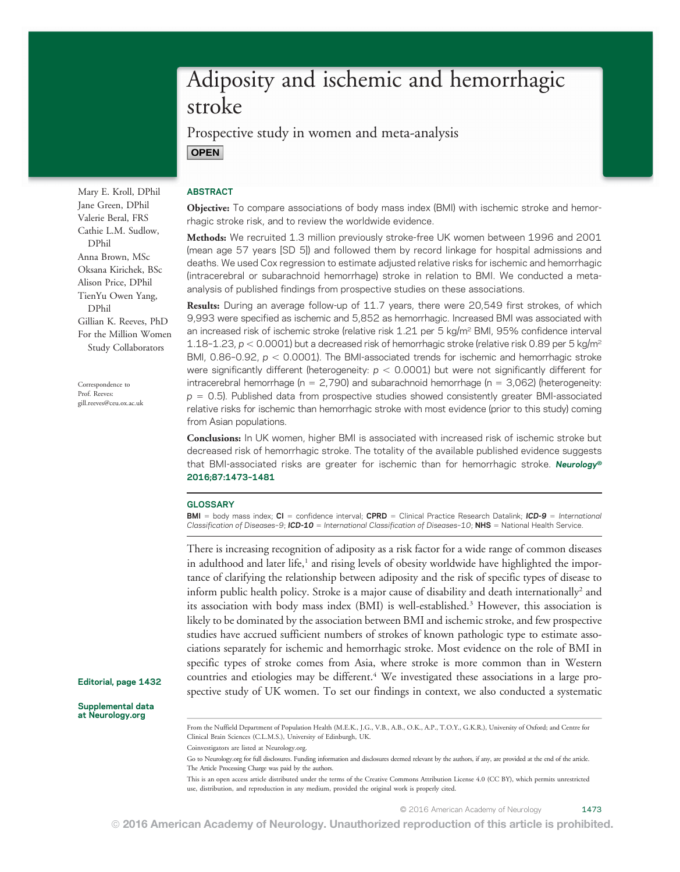# Adiposity and ischemic and hemorrhagic stroke

Prospective study in women and meta-analysis **OPEN** 

Mary E. Kroll, DPhil Jane Green, DPhil Valerie Beral, FRS Cathie L.M. Sudlow, DPhil Anna Brown, MSc Oksana Kirichek, BSc Alison Price, DPhil TienYu Owen Yang, DPhil Gillian K. Reeves, PhD For the Million Women Study Collaborators

Correspondence to Prof. Reeves: [gill.reeves@ceu.ox.ac.uk](mailto:gill.reeves@ceu.ox.ac.uk)

## **ABSTRACT**

Objective: To compare associations of body mass index (BMI) with ischemic stroke and hemorrhagic stroke risk, and to review the worldwide evidence.

Methods: We recruited 1.3 million previously stroke-free UK women between 1996 and 2001 (mean age 57 years [SD 5]) and followed them by record linkage for hospital admissions and deaths. We used Cox regression to estimate adjusted relative risks for ischemic and hemorrhagic (intracerebral or subarachnoid hemorrhage) stroke in relation to BMI. We conducted a metaanalysis of published findings from prospective studies on these associations.

Results: During an average follow-up of 11.7 years, there were 20,549 first strokes, of which 9,993 were specified as ischemic and 5,852 as hemorrhagic. Increased BMI was associated with an increased risk of ischemic stroke (relative risk 1.21 per 5 kg/m<sup>2</sup> BMI, 95% confidence interval 1.18-1.23,  $p < 0.0001$ ) but a decreased risk of hemorrhagic stroke (relative risk 0.89 per 5 kg/m<sup>2</sup> BMI,  $0.86$ -0.92,  $p < 0.0001$ ). The BMI-associated trends for ischemic and hemorrhagic stroke were significantly different (heterogeneity:  $p < 0.0001$ ) but were not significantly different for intracerebral hemorrhage ( $n = 2,790$ ) and subarachnoid hemorrhage ( $n = 3,062$ ) (heterogeneity:  $p = 0.5$ ). Published data from prospective studies showed consistently greater BMI-associated relative risks for ischemic than hemorrhagic stroke with most evidence (prior to this study) coming from Asian populations.

Conclusions: In UK women, higher BMI is associated with increased risk of ischemic stroke but decreased risk of hemorrhagic stroke. The totality of the available published evidence suggests that BMI-associated risks are greater for ischemic than for hemorrhagic stroke. Neurology® 2016;87:1473–1481

#### **GLOSSARY**

**BMI** = body mass index;  $CI =$  confidence interval; CPRD = Clinical Practice Research Datalink; ICD-9 = International Classification of Diseases-9; ICD-10 = International Classification of Diseases-10; NHS = National Health Service.

There is increasing recognition of adiposity as a risk factor for a wide range of common diseases in adulthood and later life,<sup>1</sup> and rising levels of obesity worldwide have highlighted the importance of clarifying the relationship between adiposity and the risk of specific types of disease to inform public health policy. Stroke is a major cause of disability and death internationally<sup>2</sup> and its association with body mass index (BMI) is well-established.<sup>3</sup> However, this association is likely to be dominated by the association between BMI and ischemic stroke, and few prospective studies have accrued sufficient numbers of strokes of known pathologic type to estimate associations separately for ischemic and hemorrhagic stroke. Most evidence on the role of BMI in specific types of stroke comes from Asia, where stroke is more common than in Western countries and etiologies may be different.<sup>4</sup> We investigated these associations in a large prospective study of UK women. To set our findings in context, we also conducted a systematic

Editorial, page 1432

Supplemental data at [Neurology.org](http://neurology.org/lookup/doi/10.1212/WNL.0000000000003171)

Coinvestigators are listed at [Neurology.org](http://neurology.org/lookup/doi/10.1212/WNL.0000000000003171).

© 2016 American Academy of Neurology 1473

From the Nuffield Department of Population Health (M.E.K., J.G., V.B., A.B., O.K., A.P., T.O.Y., G.K.R.), University of Oxford; and Centre for Clinical Brain Sciences (C.L.M.S.), University of Edinburgh, UK.

Go to [Neurology.org](http://neurology.org/lookup/doi/10.1212/WNL.0000000000003171) for full disclosures. Funding information and disclosures deemed relevant by the authors, if any, are provided at the end of the article. The Article Processing Charge was paid by the authors.

This is an open access article distributed under the terms of the [Creative Commons Attribution License 4.0 \(CC BY\),](http://creativecommons.org/licenses/by/4.0/) which permits unrestricted use, distribution, and reproduction in any medium, provided the original work is properly cited.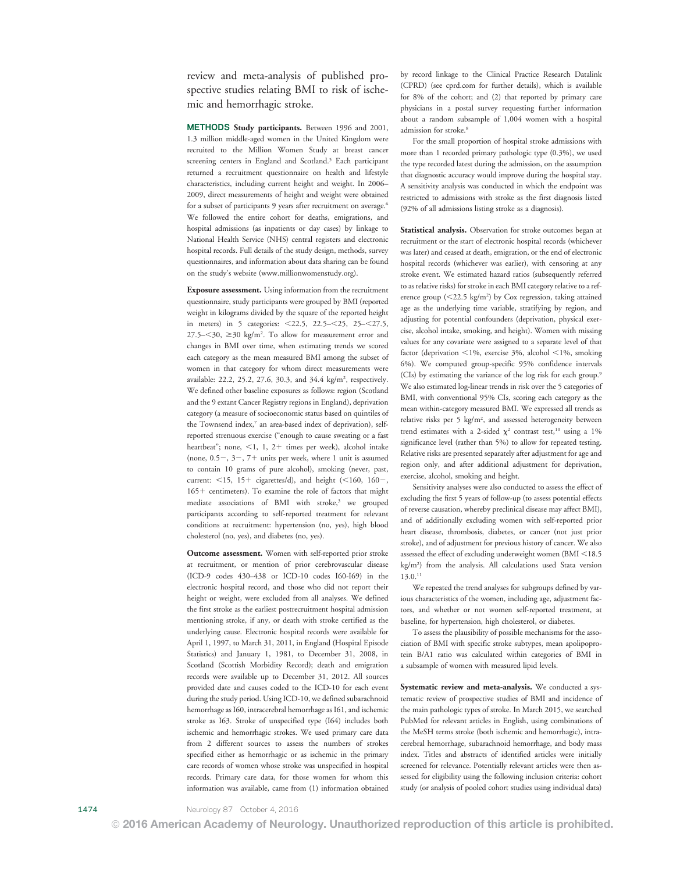review and meta-analysis of published prospective studies relating BMI to risk of ischemic and hemorrhagic stroke.

METHODS Study participants. Between 1996 and 2001, 1.3 million middle-aged women in the United Kingdom were recruited to the Million Women Study at breast cancer screening centers in England and Scotland.<sup>5</sup> Each participant returned a recruitment questionnaire on health and lifestyle characteristics, including current height and weight. In 2006– 2009, direct measurements of height and weight were obtained for a subset of participants 9 years after recruitment on average.<sup>6</sup> We followed the entire cohort for deaths, emigrations, and hospital admissions (as inpatients or day cases) by linkage to National Health Service (NHS) central registers and electronic hospital records. Full details of the study design, methods, survey questionnaires, and information about data sharing can be found on the study's website [\(www.millionwomenstudy.org\)](http://www.millionwomenstudy.org/).

Exposure assessment. Using information from the recruitment questionnaire, study participants were grouped by BMI (reported weight in kilograms divided by the square of the reported height in meters) in 5 categories:  $< 22.5$ ,  $22.5 - < 25$ ,  $25 - < 27.5$ ,  $27.5 - \leq 30$ ,  $\geq 30$  kg/m<sup>2</sup>. To allow for measurement error and changes in BMI over time, when estimating trends we scored each category as the mean measured BMI among the subset of women in that category for whom direct measurements were available: 22.2, 25.2, 27.6, 30.3, and 34.4 kg/m<sup>2</sup>, respectively. We defined other baseline exposures as follows: region (Scotland and the 9 extant Cancer Registry regions in England), deprivation category (a measure of socioeconomic status based on quintiles of the Townsend index,<sup>7</sup> an area-based index of deprivation), selfreported strenuous exercise ("enough to cause sweating or a fast heartbeat"; none,  $\leq 1$ , 1, 2+ times per week), alcohol intake (none,  $0.5-$ ,  $3-$ ,  $7+$  units per week, where 1 unit is assumed to contain 10 grams of pure alcohol), smoking (never, past, current:  $<$ 15, 15+ cigarettes/d), and height ( $<$ 160, 160-, 1651 centimeters). To examine the role of factors that might mediate associations of BMI with stroke,<sup>3</sup> we grouped participants according to self-reported treatment for relevant conditions at recruitment: hypertension (no, yes), high blood cholesterol (no, yes), and diabetes (no, yes).

Outcome assessment. Women with self-reported prior stroke at recruitment, or mention of prior cerebrovascular disease (ICD-9 codes 430–438 or ICD-10 codes I60-I69) in the electronic hospital record, and those who did not report their height or weight, were excluded from all analyses. We defined the first stroke as the earliest postrecruitment hospital admission mentioning stroke, if any, or death with stroke certified as the underlying cause. Electronic hospital records were available for April 1, 1997, to March 31, 2011, in England (Hospital Episode Statistics) and January 1, 1981, to December 31, 2008, in Scotland (Scottish Morbidity Record); death and emigration records were available up to December 31, 2012. All sources provided date and causes coded to the ICD-10 for each event during the study period. Using ICD-10, we defined subarachnoid hemorrhage as I60, intracerebral hemorrhage as I61, and ischemic stroke as I63. Stroke of unspecified type (I64) includes both ischemic and hemorrhagic strokes. We used primary care data from 2 different sources to assess the numbers of strokes specified either as hemorrhagic or as ischemic in the primary care records of women whose stroke was unspecified in hospital records. Primary care data, for those women for whom this information was available, came from (1) information obtained by record linkage to the Clinical Practice Research Datalink (CPRD) (see [cprd.com](http://www.cprd.com/) for further details), which is available for 8% of the cohort; and (2) that reported by primary care physicians in a postal survey requesting further information about a random subsample of 1,004 women with a hospital admission for stroke.<sup>8</sup>

For the small proportion of hospital stroke admissions with more than 1 recorded primary pathologic type (0.3%), we used the type recorded latest during the admission, on the assumption that diagnostic accuracy would improve during the hospital stay. A sensitivity analysis was conducted in which the endpoint was restricted to admissions with stroke as the first diagnosis listed (92% of all admissions listing stroke as a diagnosis).

Statistical analysis. Observation for stroke outcomes began at recruitment or the start of electronic hospital records (whichever was later) and ceased at death, emigration, or the end of electronic hospital records (whichever was earlier), with censoring at any stroke event. We estimated hazard ratios (subsequently referred to as relative risks) for stroke in each BMI category relative to a reference group (<22.5 kg/m<sup>2</sup>) by Cox regression, taking attained age as the underlying time variable, stratifying by region, and adjusting for potential confounders (deprivation, physical exercise, alcohol intake, smoking, and height). Women with missing values for any covariate were assigned to a separate level of that factor (deprivation  $\leq$ 1%, exercise 3%, alcohol  $\leq$ 1%, smoking 6%). We computed group-specific 95% confidence intervals (CIs) by estimating the variance of the log risk for each group.9 We also estimated log-linear trends in risk over the 5 categories of BMI, with conventional 95% CIs, scoring each category as the mean within-category measured BMI. We expressed all trends as relative risks per 5 kg/m<sup>2</sup>, and assessed heterogeneity between trend estimates with a 2-sided  $\chi^2$  contrast test,<sup>10</sup> using a 1% significance level (rather than 5%) to allow for repeated testing. Relative risks are presented separately after adjustment for age and region only, and after additional adjustment for deprivation, exercise, alcohol, smoking and height.

Sensitivity analyses were also conducted to assess the effect of excluding the first 5 years of follow-up (to assess potential effects of reverse causation, whereby preclinical disease may affect BMI), and of additionally excluding women with self-reported prior heart disease, thrombosis, diabetes, or cancer (not just prior stroke), and of adjustment for previous history of cancer. We also assessed the effect of excluding underweight women (BMI  $<$  18.5 kg/m2 ) from the analysis. All calculations used Stata version  $13.0.<sup>11</sup>$ 

We repeated the trend analyses for subgroups defined by various characteristics of the women, including age, adjustment factors, and whether or not women self-reported treatment, at baseline, for hypertension, high cholesterol, or diabetes.

To assess the plausibility of possible mechanisms for the association of BMI with specific stroke subtypes, mean apolipoprotein B/A1 ratio was calculated within categories of BMI in a subsample of women with measured lipid levels.

Systematic review and meta-analysis. We conducted a systematic review of prospective studies of BMI and incidence of the main pathologic types of stroke. In March 2015, we searched PubMed for relevant articles in English, using combinations of the MeSH terms stroke (both ischemic and hemorrhagic), intracerebral hemorrhage, subarachnoid hemorrhage, and body mass index. Titles and abstracts of identified articles were initially screened for relevance. Potentially relevant articles were then assessed for eligibility using the following inclusion criteria: cohort study (or analysis of pooled cohort studies using individual data)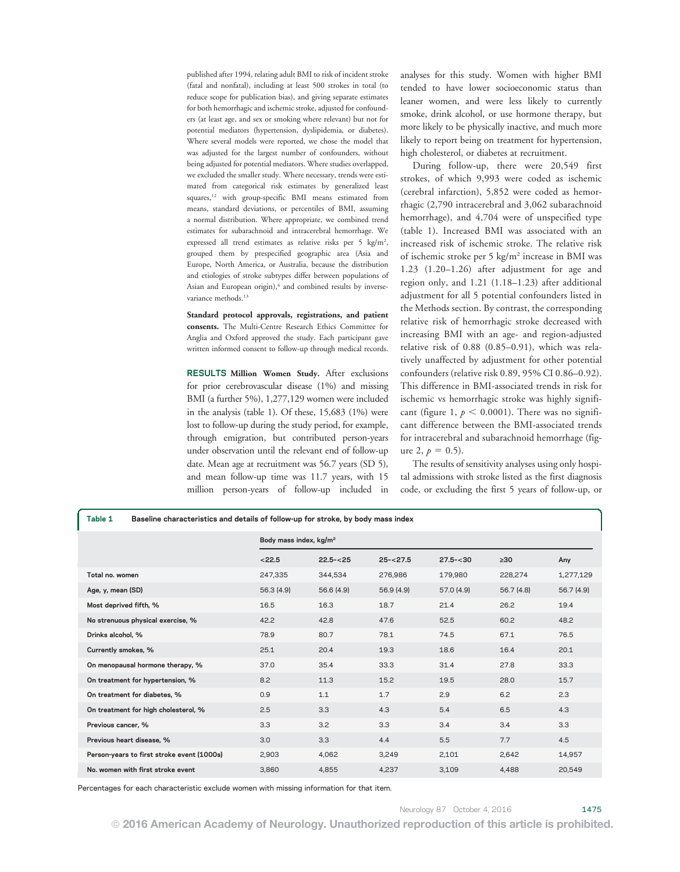published after 1994, relating adult BMI to risk of incident stroke (fatal and nonfatal), including at least 500 strokes in total (to reduce scope for publication bias), and giving separate estimates for both hemorrhagic and ischemic stroke, adjusted for confounders (at least age, and sex or smoking where relevant) but not for potential mediators (hypertension, dyslipidemia, or diabetes). Where several models were reported, we chose the model that was adjusted for the largest number of confounders, without being adjusted for potential mediators. Where studies overlapped, we excluded the smaller study. Where necessary, trends were estimated from categorical risk estimates by generalized least squares,<sup>12</sup> with group-specific BMI means estimated from means, standard deviations, or percentiles of BMI, assuming a normal distribution. Where appropriate, we combined trend estimates for subarachnoid and intracerebral hemorrhage. We expressed all trend estimates as relative risks per 5 kg/m<sup>2</sup>, grouped them by prespecified geographic area (Asia and Europe, North America, or Australia, because the distribution and etiologies of stroke subtypes differ between populations of Asian and European origin), $4$  and combined results by inversevariance methods.<sup>13</sup>

Standard protocol approvals, registrations, and patient consents. The Multi-Centre Research Ethics Committee for Anglia and Oxford approved the study. Each participant gave written informed consent to follow-up through medical records.

RESULTS Million Women Study. After exclusions for prior cerebrovascular disease (1%) and missing BMI (a further 5%), 1,277,129 women were included in the analysis (table 1). Of these, 15,683 (1%) were lost to follow-up during the study period, for example, through emigration, but contributed person-years under observation until the relevant end of follow-up date. Mean age at recruitment was 56.7 years (SD 5), and mean follow-up time was 11.7 years, with 15 million person-years of follow-up included in analyses for this study. Women with higher BMI tended to have lower socioeconomic status than leaner women, and were less likely to currently smoke, drink alcohol, or use hormone therapy, but more likely to be physically inactive, and much more likely to report being on treatment for hypertension, high cholesterol, or diabetes at recruitment.

During follow-up, there were 20,549 first strokes, of which 9,993 were coded as ischemic (cerebral infarction), 5,852 were coded as hemorrhagic (2,790 intracerebral and 3,062 subarachnoid hemorrhage), and 4,704 were of unspecified type (table 1). Increased BMI was associated with an increased risk of ischemic stroke. The relative risk of ischemic stroke per 5 kg/m2 increase in BMI was 1.23 (1.20–1.26) after adjustment for age and region only, and 1.21 (1.18–1.23) after additional adjustment for all 5 potential confounders listed in the Methods section. By contrast, the corresponding relative risk of hemorrhagic stroke decreased with increasing BMI with an age- and region-adjusted relative risk of 0.88 (0.85–0.91), which was relatively unaffected by adjustment for other potential confounders (relative risk 0.89, 95% CI 0.86–0.92). This difference in BMI-associated trends in risk for ischemic vs hemorrhagic stroke was highly significant (figure 1,  $p < 0.0001$ ). There was no significant difference between the BMI-associated trends for intracerebral and subarachnoid hemorrhage (figure 2,  $p = 0.5$ ).

The results of sensitivity analyses using only hospital admissions with stroke listed as the first diagnosis code, or excluding the first 5 years of follow-up, or

| Table 1<br>Baseline characteristics and details of follow-up for stroke, by body mass index |                                    |               |             |             |           |            |  |  |  |  |  |  |
|---------------------------------------------------------------------------------------------|------------------------------------|---------------|-------------|-------------|-----------|------------|--|--|--|--|--|--|
|                                                                                             | Body mass index, kg/m <sup>2</sup> |               |             |             |           |            |  |  |  |  |  |  |
|                                                                                             | < 22.5                             | $22.5 - < 25$ | $25 - 27.5$ | $27.5 - 30$ | >30       | Any        |  |  |  |  |  |  |
| Total no. women                                                                             | 247,335                            | 344,534       | 276,986     | 179,980     | 228,274   | 1,277,129  |  |  |  |  |  |  |
| Age, y, mean (SD)                                                                           | 56.3(4.9)                          | 56.6 (4.9)    | 56.9 (4.9)  | 57.0 (4.9)  | 56.7(4.8) | 56.7 (4.9) |  |  |  |  |  |  |
| Most deprived fifth, %                                                                      | 16.5                               | 16.3          | 18.7        | 21.4        | 26.2      | 19.4       |  |  |  |  |  |  |
| No strenuous physical exercise, %                                                           | 42.2                               | 42.8          | 47.6        | 52.5        | 60.2      | 48.2       |  |  |  |  |  |  |
| Drinks alcohol, %                                                                           | 78.9                               | 80.7          | 78.1        | 74.5        | 67.1      | 76.5       |  |  |  |  |  |  |
| Currently smokes, %                                                                         | 25.1                               | 20.4          | 19.3        | 18.6        | 16.4      | 20.1       |  |  |  |  |  |  |
| On menopausal hormone therapy, %                                                            | 37.0                               | 35.4          | 33.3        | 31.4        | 27.8      | 33.3       |  |  |  |  |  |  |
| On treatment for hypertension, %                                                            | 8.2                                | 11.3          | 15.2        | 19.5        | 28.0      | 15.7       |  |  |  |  |  |  |
| On treatment for diabetes, %                                                                | 0.9                                | 1.1           | 1.7         | 2.9         | 6.2       | 2.3        |  |  |  |  |  |  |
| On treatment for high cholesterol, %                                                        | 2.5                                | 3.3           | 4.3         | 5.4         | 6.5       | 4.3        |  |  |  |  |  |  |
| Previous cancer, %                                                                          | 3.3                                | 3.2           | 3.3         | 3.4         | 3.4       | 3.3        |  |  |  |  |  |  |
| Previous heart disease, %                                                                   | 3.0                                | 3.3           | 4.4         | 5.5         | 7.7       | 4.5        |  |  |  |  |  |  |
| Person-years to first stroke event (1000s)                                                  | 2,903                              | 4,062         | 3,249       | 2,101       | 2,642     | 14,957     |  |  |  |  |  |  |
| No. women with first stroke event                                                           | 3,860                              | 4,855         | 4,237       | 3,109       | 4,488     | 20,549     |  |  |  |  |  |  |

Percentages for each characteristic exclude women with missing information for that item.

© 2016 American Academy of Neurology. Unauthorized reproduction of this article is prohibited.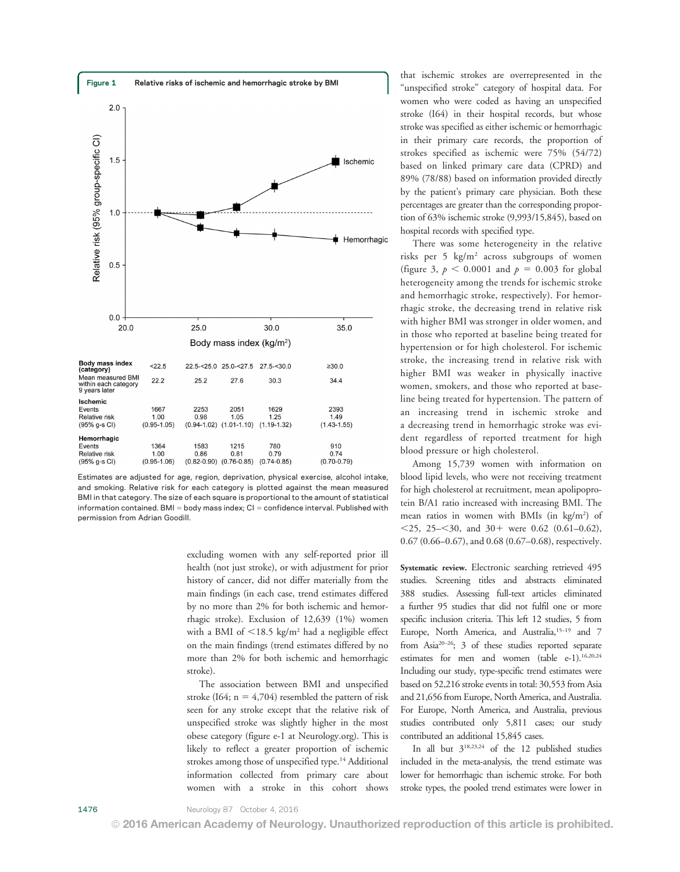

Estimates are adjusted for age, region, deprivation, physical exercise, alcohol intake, and smoking. Relative risk for each category is plotted against the mean measured BMI in that category. The size of each square is proportional to the amount of statistical information contained. BMI = body mass index;  $CI =$  confidence interval. Published with permission from Adrian Goodill.

excluding women with any self-reported prior ill health (not just stroke), or with adjustment for prior history of cancer, did not differ materially from the main findings (in each case, trend estimates differed by no more than 2% for both ischemic and hemorrhagic stroke). Exclusion of 12,639 (1%) women with a BMI of  $\leq$ 18.5 kg/m<sup>2</sup> had a negligible effect on the main findings (trend estimates differed by no more than 2% for both ischemic and hemorrhagic stroke).

The association between BMI and unspecified stroke (I64;  $n = 4,704$ ) resembled the pattern of risk seen for any stroke except that the relative risk of unspecified stroke was slightly higher in the most obese category (figure e-1 at [Neurology.org\)](http://neurology.org/lookup/doi/10.1212/WNL.0000000000003171). This is likely to reflect a greater proportion of ischemic strokes among those of unspecified type.<sup>14</sup> Additional information collected from primary care about women with a stroke in this cohort shows that ischemic strokes are overrepresented in the "unspecified stroke" category of hospital data. For women who were coded as having an unspecified stroke (I64) in their hospital records, but whose stroke was specified as either ischemic or hemorrhagic in their primary care records, the proportion of strokes specified as ischemic were 75% (54/72) based on linked primary care data (CPRD) and 89% (78/88) based on information provided directly by the patient's primary care physician. Both these percentages are greater than the corresponding proportion of 63% ischemic stroke (9,993/15,845), based on hospital records with specified type.

There was some heterogeneity in the relative risks per 5 kg/m2 across subgroups of women (figure 3,  $p < 0.0001$  and  $p = 0.003$  for global heterogeneity among the trends for ischemic stroke and hemorrhagic stroke, respectively). For hemorrhagic stroke, the decreasing trend in relative risk with higher BMI was stronger in older women, and in those who reported at baseline being treated for hypertension or for high cholesterol. For ischemic stroke, the increasing trend in relative risk with higher BMI was weaker in physically inactive women, smokers, and those who reported at baseline being treated for hypertension. The pattern of an increasing trend in ischemic stroke and a decreasing trend in hemorrhagic stroke was evident regardless of reported treatment for high blood pressure or high cholesterol.

Among 15,739 women with information on blood lipid levels, who were not receiving treatment for high cholesterol at recruitment, mean apolipoprotein B/A1 ratio increased with increasing BMI. The mean ratios in women with BMIs (in kg/m<sup>2</sup>) of  $<$ 25, 25– $<$ 30, and 30+ were 0.62 (0.61–0.62), 0.67 (0.66–0.67), and 0.68 (0.67–0.68), respectively.

Systematic review. Electronic searching retrieved 495 studies. Screening titles and abstracts eliminated 388 studies. Assessing full-text articles eliminated a further 95 studies that did not fulfil one or more specific inclusion criteria. This left 12 studies, 5 from Europe, North America, and Australia,<sup>15-19</sup> and 7 from Asia<sup>20-26</sup>; 3 of these studies reported separate estimates for men and women (table e-1).<sup>16,20,24</sup> Including our study, type-specific trend estimates were based on 52,216 stroke events in total: 30,553 from Asia and 21,656 from Europe, North America, and Australia. For Europe, North America, and Australia, previous studies contributed only 5,811 cases; our study contributed an additional 15,845 cases.

In all but 318,23,24 of the 12 published studies included in the meta-analysis, the trend estimate was lower for hemorrhagic than ischemic stroke. For both stroke types, the pooled trend estimates were lower in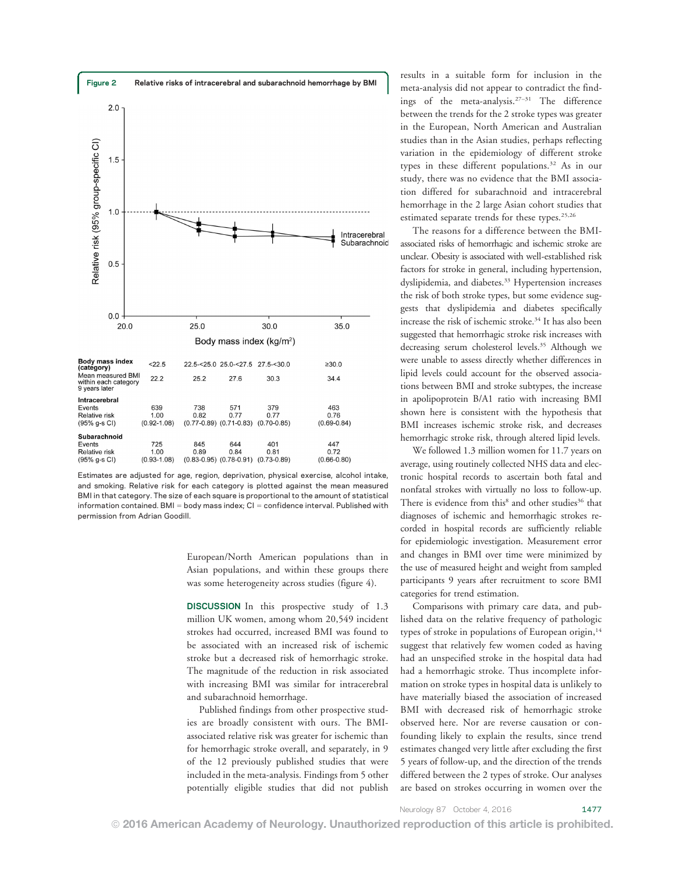

Estimates are adjusted for age, region, deprivation, physical exercise, alcohol intake, and smoking. Relative risk for each category is plotted against the mean measured BMI in that category. The size of each square is proportional to the amount of statistical information contained. BMI = body mass index;  $CI =$  confidence interval. Published with permission from Adrian Goodill.

European/North American populations than in Asian populations, and within these groups there was some heterogeneity across studies (figure 4).

DISCUSSION In this prospective study of 1.3 million UK women, among whom 20,549 incident strokes had occurred, increased BMI was found to be associated with an increased risk of ischemic stroke but a decreased risk of hemorrhagic stroke. The magnitude of the reduction in risk associated with increasing BMI was similar for intracerebral and subarachnoid hemorrhage.

Published findings from other prospective studies are broadly consistent with ours. The BMIassociated relative risk was greater for ischemic than for hemorrhagic stroke overall, and separately, in 9 of the 12 previously published studies that were included in the meta-analysis. Findings from 5 other potentially eligible studies that did not publish results in a suitable form for inclusion in the meta-analysis did not appear to contradict the findings of the meta-analysis.27–<sup>31</sup> The difference between the trends for the 2 stroke types was greater in the European, North American and Australian studies than in the Asian studies, perhaps reflecting variation in the epidemiology of different stroke types in these different populations.32 As in our study, there was no evidence that the BMI association differed for subarachnoid and intracerebral hemorrhage in the 2 large Asian cohort studies that estimated separate trends for these types.<sup>25,26</sup>

The reasons for a difference between the BMIassociated risks of hemorrhagic and ischemic stroke are unclear. Obesity is associated with well-established risk factors for stroke in general, including hypertension, dyslipidemia, and diabetes.<sup>33</sup> Hypertension increases the risk of both stroke types, but some evidence suggests that dyslipidemia and diabetes specifically increase the risk of ischemic stroke.<sup>34</sup> It has also been suggested that hemorrhagic stroke risk increases with decreasing serum cholesterol levels.35 Although we were unable to assess directly whether differences in lipid levels could account for the observed associations between BMI and stroke subtypes, the increase in apolipoprotein B/A1 ratio with increasing BMI shown here is consistent with the hypothesis that BMI increases ischemic stroke risk, and decreases hemorrhagic stroke risk, through altered lipid levels.

We followed 1.3 million women for 11.7 years on average, using routinely collected NHS data and electronic hospital records to ascertain both fatal and nonfatal strokes with virtually no loss to follow-up. There is evidence from this<sup>8</sup> and other studies<sup>36</sup> that diagnoses of ischemic and hemorrhagic strokes recorded in hospital records are sufficiently reliable for epidemiologic investigation. Measurement error and changes in BMI over time were minimized by the use of measured height and weight from sampled participants 9 years after recruitment to score BMI categories for trend estimation.

Comparisons with primary care data, and published data on the relative frequency of pathologic types of stroke in populations of European origin,  $14$ suggest that relatively few women coded as having had an unspecified stroke in the hospital data had had a hemorrhagic stroke. Thus incomplete information on stroke types in hospital data is unlikely to have materially biased the association of increased BMI with decreased risk of hemorrhagic stroke observed here. Nor are reverse causation or confounding likely to explain the results, since trend estimates changed very little after excluding the first 5 years of follow-up, and the direction of the trends differed between the 2 types of stroke. Our analyses are based on strokes occurring in women over the

Neurology 87 October 4, 2016 1477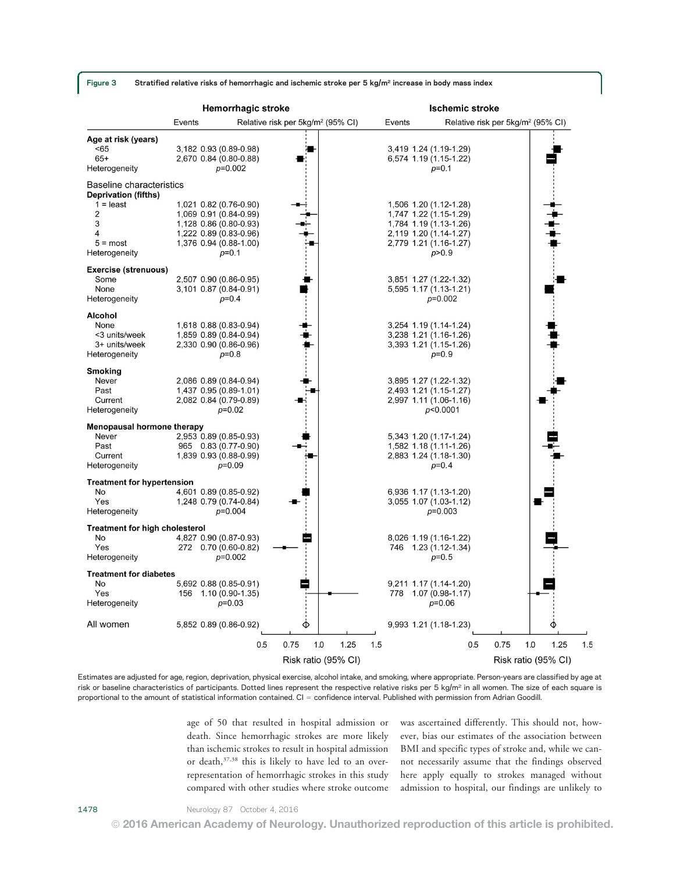Figure 3 Stratified relative risks of hemorrhagic and ischemic stroke per 5 kg/m<sup>2</sup> increase in body mass index

|                                                                                                            | <b>Hemorrhagic stroke</b> |                                                                                                                                |                                               |     | <b>Ischemic stroke</b> |                                                                                                                                |                                               |     |      |
|------------------------------------------------------------------------------------------------------------|---------------------------|--------------------------------------------------------------------------------------------------------------------------------|-----------------------------------------------|-----|------------------------|--------------------------------------------------------------------------------------------------------------------------------|-----------------------------------------------|-----|------|
|                                                                                                            | Events                    |                                                                                                                                | Relative risk per 5kg/m <sup>2</sup> (95% CI) |     | Events                 |                                                                                                                                | Relative risk per 5kg/m <sup>2</sup> (95% CI) |     |      |
| Age at risk (years)<br><65<br>$65+$<br>Heterogeneity                                                       |                           | 3,182 0.93 (0.89-0.98)<br>2,670 0.84 (0.80-0.88)<br>$p=0.002$                                                                  |                                               |     |                        | 3,419 1.24 (1.19-1.29)<br>6,574 1.19 (1.15-1.22)<br>$p=0.1$                                                                    |                                               |     |      |
| <b>Baseline characteristics</b><br><b>Deprivation (fifths)</b><br>$1 =$ least<br>2<br>3<br>4<br>$5 = most$ |                           | 1,021 0.82 (0.76-0.90)<br>1,069 0.91 (0.84-0.99)<br>1,128 0.86 (0.80-0.93)<br>1,222 0.89 (0.83-0.96)<br>1,376 0.94 (0.88-1.00) |                                               |     |                        | 1,506 1.20 (1.12-1.28)<br>1,747 1.22 (1.15-1.29)<br>1,784 1.19 (1.13-1.26)<br>2,119 1.20 (1.14-1.27)<br>2,779 1.21 (1.16-1.27) |                                               |     |      |
| Heterogeneity<br><b>Exercise (strenuous)</b><br>Some                                                       |                           | $p=0.1$<br>2,507 0.90 (0.86-0.95)                                                                                              |                                               |     |                        | p > 0.9<br>3,851 1.27 (1.22-1.32)                                                                                              |                                               |     |      |
| None<br>Heterogeneity                                                                                      |                           | 3,101 0.87 (0.84-0.91)<br>$p=0.4$                                                                                              |                                               |     |                        | 5,595 1.17 (1.13-1.21)<br>$p=0.002$                                                                                            |                                               |     |      |
| Alcohol<br>None<br><3 units/week<br>3+ units/week<br>Heterogeneity                                         |                           | 1,618 0.88 (0.83-0.94)<br>1,859 0.89 (0.84-0.94)<br>2,330 0.90 (0.86-0.96)<br>$p=0.8$                                          |                                               |     |                        | 3,254 1.19 (1.14-1.24)<br>3,238 1.21 (1.16-1.26)<br>3,393 1.21 (1.15-1.26)<br>$p=0.9$                                          |                                               |     |      |
| Smoking<br>Never<br>Past<br>Current<br>Heterogeneity                                                       |                           | 2,086 0.89 (0.84-0.94)<br>1,437 0.95 (0.89-1.01)<br>2,082 0.84 (0.79-0.89)<br>$p=0.02$                                         |                                               |     |                        | 3,895 1.27 (1.22-1.32)<br>2,493 1.21 (1.15-1.27)<br>2,997 1.11 (1.06-1.16)<br>p<0.0001                                         |                                               |     |      |
| <b>Menopausal hormone therapy</b><br>Never<br>Past<br>Current<br>Heterogeneity                             |                           | 2,953 0.89 (0.85-0.93)<br>965 0.83 (0.77-0.90)<br>1,839 0.93 (0.88-0.99)<br>$p=0.09$                                           |                                               |     |                        | 5,343 1.20 (1.17-1.24)<br>1,582 1.18 (1.11-1.26)<br>2,883 1.24 (1.18-1.30)<br>$p=0.4$                                          |                                               |     |      |
| <b>Treatment for hypertension</b><br>No<br>Yes<br>Heterogeneity                                            |                           | 4,601 0.89 (0.85-0.92)<br>1,248 0.79 (0.74-0.84)<br>$p=0.004$                                                                  |                                               |     |                        | 6,936 1.17 (1.13-1.20)<br>3,055 1.07 (1.03-1.12)<br>$p=0.003$                                                                  |                                               |     |      |
| <b>Treatment for high cholesterol</b><br>No<br>Yes<br>Heterogeneity                                        |                           | 4,827 0.90 (0.87-0.93)<br>272 0.70 (0.60-0.82)<br>$p=0.002$                                                                    |                                               |     |                        | 8,026 1.19 (1.16-1.22)<br>746 1.23 (1.12-1.34)<br>$p=0.5$                                                                      |                                               |     |      |
| <b>Treatment for diabetes</b><br>No<br>Yes<br>Heterogeneity                                                | 156                       | 5,692 0.88 (0.85-0.91)<br>$1.10(0.90-1.35)$<br>$p=0.03$                                                                        | Ē                                             |     | 778                    | 9,211 1.17 (1.14-1.20)<br>$1.07(0.98-1.17)$<br>$p=0.06$                                                                        |                                               |     |      |
| All women                                                                                                  |                           | 5,852 0.89 (0.86-0.92)                                                                                                         | ♦                                             |     |                        | 9,993 1.21 (1.18-1.23)                                                                                                         |                                               |     |      |
|                                                                                                            |                           | 0.5                                                                                                                            | 1.0<br>1.25<br>0.75<br>Risk ratio (95% CI)    | 1.5 |                        | 0.5                                                                                                                            | 0.75<br>Risk ratio (95% CI)                   | 1.0 | 1.25 |

Estimates are adjusted for age, region, deprivation, physical exercise, alcohol intake, and smoking, where appropriate. Person-years are classified by age at risk or baseline characteristics of participants. Dotted lines represent the respective relative risks per 5 kg/m<sup>2</sup> in all women. The size of each square is proportional to the amount of statistical information contained. CI = confidence interval. Published with permission from Adrian Goodill.

> age of 50 that resulted in hospital admission or death. Since hemorrhagic strokes are more likely than ischemic strokes to result in hospital admission or death, 37,38 this is likely to have led to an overrepresentation of hemorrhagic strokes in this study compared with other studies where stroke outcome

was ascertained differently. This should not, however, bias our estimates of the association between BMI and specific types of stroke and, while we cannot necessarily assume that the findings observed here apply equally to strokes managed without admission to hospital, our findings are unlikely to

© 2016 American Academy of Neurology. Unauthorized reproduction of this article is prohibited.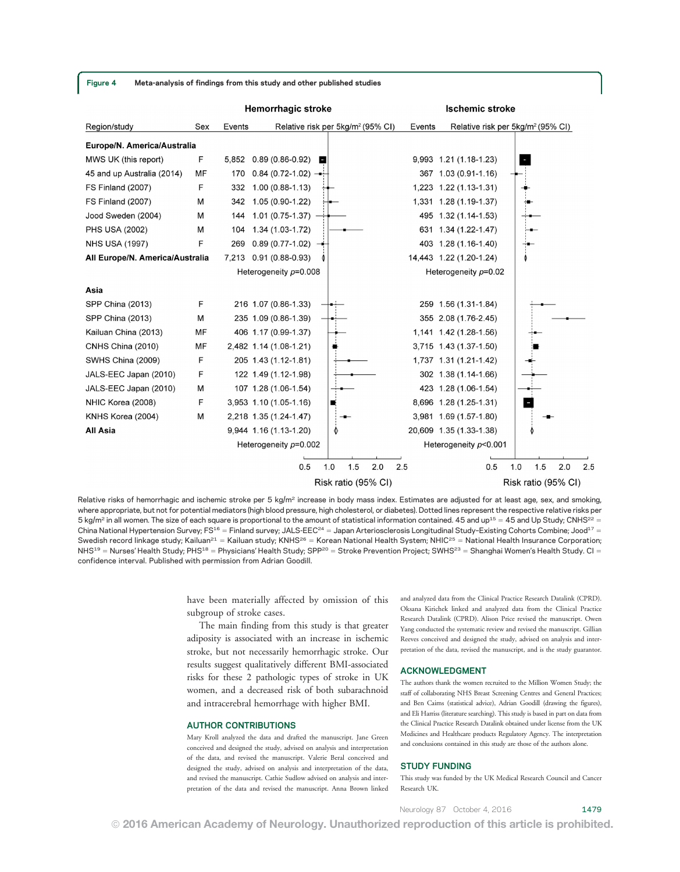**Hemorrhagic stroke Ischemic stroke** Relative risk per 5kg/m<sup>2</sup> (95% CI) Relative risk per 5kg/m<sup>2</sup> (95% CI) Region/study Sex Events Events Europe/N. America/Australia MWS UK (this report) F 5,852 0.89 (0.86-0.92) 9,993 1.21 (1.18-1.23) в 45 and up Australia (2014) **MF** 170  $0.84(0.72 - 1.02)$ 367 1.03 (0.91-1.16) F FS Finland (2007) 332 1.00 (0.88-1.13) 1,223 1.22 (1.13-1.31) FS Finland (2007) M 342 1.05 (0.90-1.22) 1,331 1.28 (1.19-1.37) Jood Sweden (2004)  $1.01(0.75-1.37)$ 495 1.32 (1.14-1.53) M 144 **PHS USA (2002)** 1.34 (1.03-1.72) 631 1.34 (1.22-1.47) M  $104$ E **NHS USA (1997)** 269  $0.89(0.77-1.02)$ 403 1.28 (1.16-1.40) All Europe/N. America/Australia 7,213 0.91 (0.88-0.93) 14,443 1.22 (1.20-1.24) Heterogeneity  $p=0.008$ Heterogeneity  $p=0.02$ Asia SPP China (2013) F 216 1.07 (0.86-1.33) 259 1.56 (1.31-1.84) SPP China (2013) 235 1.09 (0.86-1.39) M 355 2.08 (1.76-2.45) Kailuan China (2013) MF 406 1.17 (0.99-1.37) 1,141 1.42 (1.28-1.56) CNHS China (2010) **MF** 2,482 1.14 (1.08-1.21) 3,715 1.43 (1.37-1.50) F SWHS China (2009) 205 1.43 (1.12-1.81) 1,737 1.31 (1.21-1.42) F JALS-EEC Japan (2010) 122 1.49 (1.12-1.98) 302 1.38 (1.14-1.66) JALS-EEC Japan (2010) M 107 1.28 (1.06-1.54) 423 1.28 (1.06-1.54) F NHIC Korea (2008) 3,953 1.10 (1.05-1.16) 8,696 1.28 (1.25-1.31) KNHS Korea (2004) M 2,218 1.35 (1.24-1.47) 3,981 1.69 (1.57-1.80) All Asia 9,944 1.16 (1.13-1.20) 20,609 1.35 (1.33-1.38) Heterogeneity  $p=0.002$ Heterogeneity  $p<$  0.001  $0.5$  $1.0$  $2.0$  $2.5$  $0.5$  $2.5$  $1.5$  $1.0$  $1.5$  $2.0$ Risk ratio (95% CI) Risk ratio (95% CI)

Relative risks of hemorrhagic and ischemic stroke per 5 kg/m<sup>2</sup> increase in body mass index. Estimates are adjusted for at least age, sex, and smoking, where appropriate, but not for potential mediators (high blood pressure, high cholesterol, or diabetes). Dotted lines represent the respective relative risks per 5 kg/m<sup>2</sup> in all women. The size of each square is proportional to the amount of statistical information contained. 45 and up<sup>15</sup> = 45 and Up Study; CNHS<sup>22</sup> = China National Hypertension Survey; FS<sup>16</sup> = Finland survey; JALS-EEC<sup>24</sup> = Japan Arteriosclerosis Longitudinal Study-Existing Cohorts Combine; Jood<sup>17</sup> = Swedish record linkage study; Kailuan<sup>21</sup> = Kailuan study; KNHS<sup>26</sup> = Korean National Health System; NHIC<sup>25</sup> = National Health Insurance Corporation;  $N$ HS<sup>19</sup> = Nurses' Health Study; PHS<sup>18</sup> = Physicians' Health Study; SPP<sup>20</sup> = Stroke Prevention Project; SWHS<sup>23</sup> = Shanghai Women's Health Study. CI = confidence interval. Published with permission from Adrian Goodill.

© 2016 American Academy of Neurology. Unauthorized reproduction of this article is prohibited.

have been materially affected by omission of this subgroup of stroke cases.

The main finding from this study is that greater adiposity is associated with an increase in ischemic stroke, but not necessarily hemorrhagic stroke. Our results suggest qualitatively different BMI-associated risks for these 2 pathologic types of stroke in UK women, and a decreased risk of both subarachnoid and intracerebral hemorrhage with higher BMI.

#### AUTHOR CONTRIBUTIONS

Mary Kroll analyzed the data and drafted the manuscript. Jane Green conceived and designed the study, advised on analysis and interpretation of the data, and revised the manuscript. Valerie Beral conceived and designed the study, advised on analysis and interpretation of the data, and revised the manuscript. Cathie Sudlow advised on analysis and interpretation of the data and revised the manuscript. Anna Brown linked and analyzed data from the Clinical Practice Research Datalink (CPRD). Oksana Kirichek linked and analyzed data from the Clinical Practice Research Datalink (CPRD). Alison Price revised the manuscript. Owen Yang conducted the systematic review and revised the manuscript. Gillian Reeves conceived and designed the study, advised on analysis and interpretation of the data, revised the manuscript, and is the study guarantor.

#### ACKNOWLEDGMENT

The authors thank the women recruited to the Million Women Study; the staff of collaborating NHS Breast Screening Centres and General Practices; and Ben Cairns (statistical advice), Adrian Goodill (drawing the figures), and Eli Harriss (literature searching). This study is based in part on data from the Clinical Practice Research Datalink obtained under license from the UK Medicines and Healthcare products Regulatory Agency. The interpretation and conclusions contained in this study are those of the authors alone.

#### STUDY FUNDING

This study was funded by the UK Medical Research Council and Cancer Research UK.

Neurology 87 October 4, 2016 1479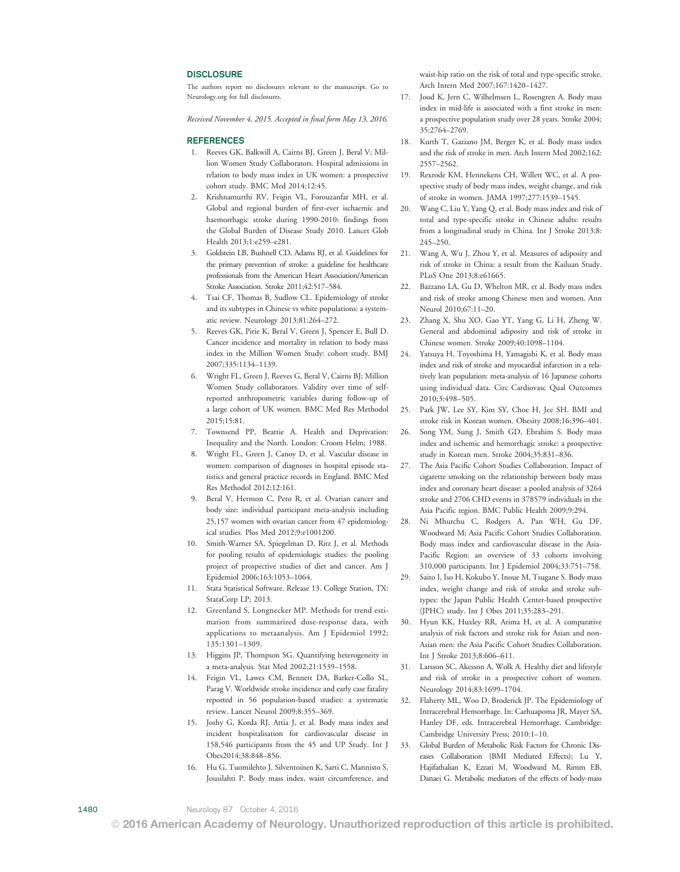#### **DISCLOSURE**

The authors report no disclosures relevant to the manuscript. Go to [Neurology.org](http://neurology.org/lookup/doi/10.1212/WNL.0000000000003171) for full disclosures.

Received November 4, 2015. Accepted in final form May 13, 2016.

#### REFERENCES

- 1. Reeves GK, Balkwill A, Cairns BJ, Green J, Beral V; Million Women Study Collaborators. Hospital admissions in relation to body mass index in UK women: a prospective cohort study. BMC Med 2014;12:45.
- 2. Krishnamurthi RV, Feigin VL, Forouzanfar MH, et al. Global and regional burden of first-ever ischaemic and haemorrhagic stroke during 1990-2010: findings from the Global Burden of Disease Study 2010. Lancet Glob Health 2013;1:e259–e281.
- 3. Goldstein LB, Bushnell CD, Adams RJ, et al. Guidelines for the primary prevention of stroke: a guideline for healthcare professionals from the American Heart Association/American Stroke Association. Stroke 2011;42:517–584.
- 4. Tsai CF, Thomas B, Sudlow CL. Epidemiology of stroke and its subtypes in Chinese vs white populations: a systematic review. Neurology 2013;81:264–272.
- 5. Reeves GK, Pirie K, Beral V, Green J, Spencer E, Bull D. Cancer incidence and mortality in relation to body mass index in the Million Women Study: cohort study. BMJ 2007;335:1134–1139.
- 6. Wright FL, Green J, Reeves G, Beral V, Cairns BJ; Million Women Study collaborators. Validity over time of selfreported anthropometric variables during follow-up of a large cohort of UK women. BMC Med Res Methodol 2015;15:81.
- 7. Townsend PP, Beattie A. Health and Deprivation: Inequality and the North. London: Croom Helm; 1988.
- 8. Wright FL, Green J, Canoy D, et al. Vascular disease in women: comparison of diagnoses in hospital episode statistics and general practice records in England. BMC Med Res Methodol 2012;12:161.
- 9. Beral V, Hermon C, Peto R, et al. Ovarian cancer and body size: individual participant meta-analysis including 25,157 women with ovarian cancer from 47 epidemiological studies. Plos Med 2012;9:e1001200.
- 10. Smith-Warner SA, Spiegelman D, Ritz J, et al. Methods for pooling results of epidemiologic studies: the pooling project of prospective studies of diet and cancer. Am J Epidemiol 2006;163:1053–1064.
- 11. Stata Statistical Software. Release 13. College Station, TX: StataCorp LP; 2013.
- 12. Greenland S, Longnecker MP. Methods for trend estimation from summarized dose-response data, with applications to metaanalysis. Am J Epidemiol 1992; 135:1301–1309.
- 13. Higgins JP, Thompson SG. Quantifying heterogeneity in a meta-analysis. Stat Med 2002;21:1539–1558.
- 14. Feigin VL, Lawes CM, Bennett DA, Barker-Collo SL, Parag V. Worldwide stroke incidence and early case fatality reported in 56 population-based studies: a systematic review. Lancet Neurol 2009;8:355–369.
- 15. Joshy G, Korda RJ, Attia J, et al. Body mass index and incident hospitalisation for cardiovascular disease in 158,546 participants from the 45 and UP Study. Int J Obes2014;38:848–856.
- 16. Hu G, Tuomilehto J, Silventoinen K, Sarti C, Mannisto S, Jousilahti P. Body mass index, waist circumference, and

waist-hip ratio on the risk of total and type-specific stroke. Arch Intern Med 2007;167:1420–1427.

- 17. Jood K, Jern C, Wilhelmsen L, Rosengren A. Body mass index in mid-life is associated with a first stroke in men: a prospective population study over 28 years. Stroke 2004; 35:2764–2769.
- 18. Kurth T, Gaziano JM, Berger K, et al. Body mass index and the risk of stroke in men. Arch Intern Med 2002;162: 2557–2562.
- 19. Rexrode KM, Hennekens CH, Willett WC, et al. A prospective study of body mass index, weight change, and risk of stroke in women. JAMA 1997;277:1539–1545.
- 20. Wang C, Liu Y, Yang Q, et al. Body mass index and risk of total and type-specific stroke in Chinese adults: results from a longitudinal study in China. Int J Stroke 2013;8: 245–250.
- 21. Wang A, Wu J, Zhou Y, et al. Measures of adiposity and risk of stroke in China: a result from the Kailuan Study. PLoS One 2013;8:e61665.
- 22. Bazzano LA, Gu D, Whelton MR, et al. Body mass index and risk of stroke among Chinese men and women. Ann Neurol 2010;67:11–20.
- 23. Zhang X, Shu XO, Gao YT, Yang G, Li H, Zheng W. General and abdominal adiposity and risk of stroke in Chinese women. Stroke 2009;40:1098–1104.
- 24. Yatsuya H, Toyoshima H, Yamagishi K, et al. Body mass index and risk of stroke and myocardial infarction in a relatively lean population: meta-analysis of 16 Japanese cohorts using individual data. Circ Cardiovasc Qual Outcomes 2010;3:498–505.
- 25. Park JW, Lee SY, Kim SY, Choe H, Jee SH. BMI and stroke risk in Korean women. Obesity 2008;16:396–401.
- 26. Song YM, Sung J, Smith GD, Ebrahim S. Body mass index and ischemic and hemorrhagic stroke: a prospective study in Korean men. Stroke 2004;35:831–836.
- 27. The Asia Pacific Cohort Studies Collaboration. Impact of cigarette smoking on the relationship between body mass index and coronary heart disease: a pooled analysis of 3264 stroke and 2706 CHD events in 378579 individuals in the Asia Pacific region. BMC Public Health 2009;9:294.
- 28. Ni Mhurchu C, Rodgers A, Pan WH, Gu DF, Woodward M; Asia Pacific Cohort Studies Collaboration. Body mass index and cardiovascular disease in the Asia-Pacific Region: an overview of 33 cohorts involving 310,000 participants. Int J Epidemiol 2004;33:751–758.
- 29. Saito I, Iso H, Kokubo Y, Inoue M, Tsugane S. Body mass index, weight change and risk of stroke and stroke subtypes: the Japan Public Health Center-based prospective (JPHC) study. Int J Obes 2011;35:283–291.
- 30. Hyun KK, Huxley RR, Arima H, et al. A comparative analysis of risk factors and stroke risk for Asian and non-Asian men: the Asia Pacific Cohort Studies Collaboration. Int J Stroke 2013;8:606–611.
- 31. Larsson SC, Akesson A, Wolk A. Healthy diet and lifestyle and risk of stroke in a prospective cohort of women. Neurology 2014;83:1699–1704.
- 32. Flaherty ML, Woo D, Broderick JP. The Epidemiology of Intracerebral Hemorrhage. In: Carhuapoma JR, Mayer SA, Hanley DF, eds. Intracerebral Hemorrhage. Cambridge: Cambridge University Press; 2010:1–10.
- 33. Global Burden of Metabolic Risk Factors for Chronic Diseases Collaboration (BMI Mediated Effects); Lu Y, Hajifathalian K, Ezzati M, Woodward M, Rimm EB, Danaei G. Metabolic mediators of the effects of body-mass